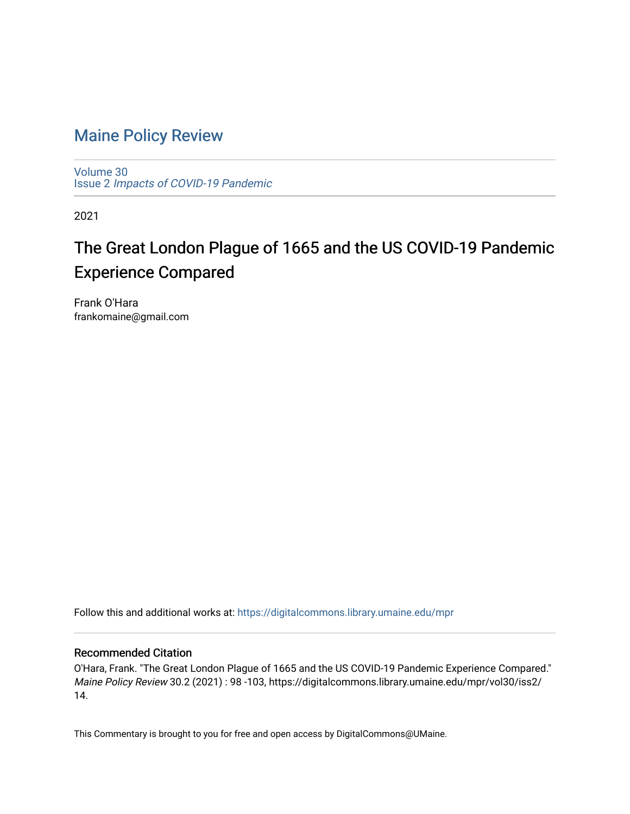# [Maine Policy Review](https://digitalcommons.library.umaine.edu/mpr)

[Volume 30](https://digitalcommons.library.umaine.edu/mpr/vol30) Issue 2 [Impacts of COVID-19 Pandemic](https://digitalcommons.library.umaine.edu/mpr/vol30/iss2)

2021

# The Great London Plague of 1665 and the US COVID-19 Pandemic Experience Compared

Frank O'Hara frankomaine@gmail.com

Follow this and additional works at: [https://digitalcommons.library.umaine.edu/mpr](https://digitalcommons.library.umaine.edu/mpr?utm_source=digitalcommons.library.umaine.edu%2Fmpr%2Fvol30%2Fiss2%2F14&utm_medium=PDF&utm_campaign=PDFCoverPages)

## Recommended Citation

O'Hara, Frank. "The Great London Plague of 1665 and the US COVID-19 Pandemic Experience Compared." Maine Policy Review 30.2 (2021) : 98 -103, https://digitalcommons.library.umaine.edu/mpr/vol30/iss2/ 14.

This Commentary is brought to you for free and open access by DigitalCommons@UMaine.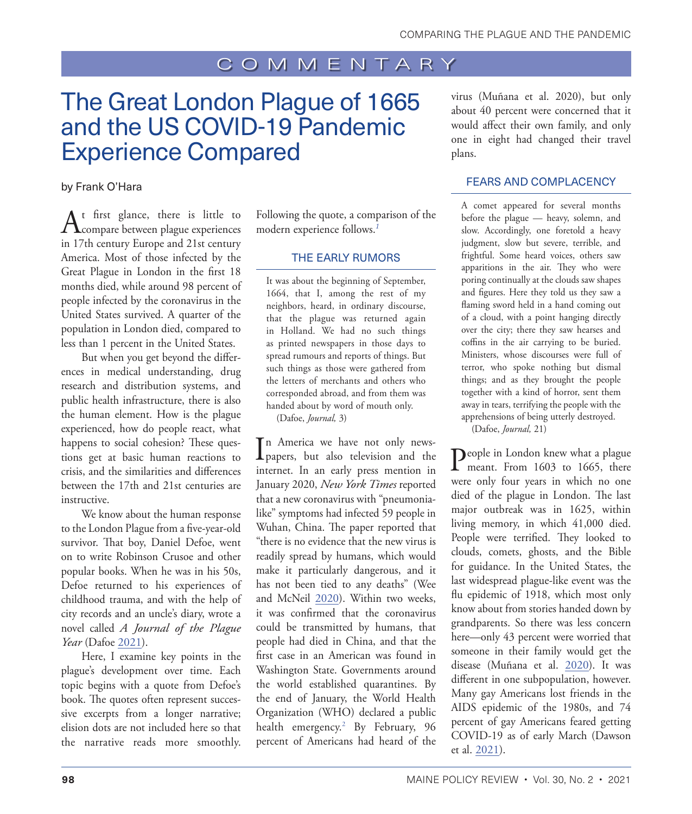# <span id="page-1-0"></span>The Great London Plague of 1665 and the US COVID-19 Pandemic Experience Compared

#### by Frank O'Hara

 $A_{\text{compare between }}}$  is little to compare between plague experiences in 17th century Europe and 21st century America. Most of those infected by the Great Plague in London in the first 18 months died, while around 98 percent of people infected by the coronavirus in the United States survived. A quarter of the population in London died, compared to less than 1 percent in the United States.

But when you get beyond the differences in medical understanding, drug research and distribution systems, and public health infrastructure, there is also the human element. How is the plague experienced, how do people react, what happens to social cohesion? These questions get at basic human reactions to crisis, and the similarities and differences between the 17th and 21st centuries are instructive.

We know about the human response to the London Plague from a five-year-old survivor. That boy, Daniel Defoe, went on to write Robinson Crusoe and other popular books. When he was in his 50s, Defoe returned to his experiences of childhood trauma, and with the help of city records and an uncle's diary, wrote a novel called *A Journal of the Plague Year* (Dafoe [2021](#page-6-0)).

Here, I examine key points in the plague's development over time. Each topic begins with a quote from Defoe's book. The quotes often represent successive excerpts from a longer narrative; elision dots are not included here so that the narrative reads more smoothly.

Following the quote, a comparison of the modern experience follows.*[1](#page-5-0)*

#### THE EARLY RUMORS

It was about the beginning of September, 1664, that I, among the rest of my neighbors, heard, in ordinary discourse, that the plague was returned again in Holland. We had no such things as printed newspapers in those days to spread rumours and reports of things. But such things as those were gathered from the letters of merchants and others who corresponded abroad, and from them was handed about by word of mouth only. (Dafoe, *Journal,* 3)

In America we have not only news-<br>papers, but also television and the n America we have not only newsinternet. In an early press mention in January 2020, *New York Times* reported that a new coronavirus with "pneumonialike" symptoms had infected 59 people in Wuhan, China. The paper reported that "there is no evidence that the new virus is readily spread by humans, which would make it particularly dangerous, and it has not been tied to any deaths" (Wee and McNeil [2020\)](#page-6-1). Within two weeks, it was confirmed that the coronavirus could be transmitted by humans, that people had died in China, and that the first case in an American was found in Washington State. Governments around the world established quarantines. By the end of January, the World Health Organization (WHO) declared a public health emergency[.2](#page-5-0) By February, 96 percent of Americans had heard of the

virus (Muñana et al. 2020), but only about 40 percent were concerned that it would affect their own family, and only one in eight had changed their travel plans.

### FEARS AND COMPLACENCY

A comet appeared for several months before the plague — heavy, solemn, and slow. Accordingly, one foretold a heavy judgment, slow but severe, terrible, and frightful. Some heard voices, others saw apparitions in the air. They who were poring continually at the clouds saw shapes and figures. Here they told us they saw a flaming sword held in a hand coming out of a cloud, with a point hanging directly over the city; there they saw hearses and coffins in the air carrying to be buried. Ministers, whose discourses were full of terror, who spoke nothing but dismal things; and as they brought the people together with a kind of horror, sent them away in tears, terrifying the people with the apprehensions of being utterly destroyed.

(Dafoe, *Journal,* 21)

People in London knew what a plague<br>
meant. From 1603 to 1665, there were only four years in which no one died of the plague in London. The last major outbreak was in 1625, within living memory, in which 41,000 died. People were terrified. They looked to clouds, comets, ghosts, and the Bible for guidance. In the United States, the last widespread plague-like event was the flu epidemic of 1918, which most only know about from stories handed down by grandparents. So there was less concern here—only 43 percent were worried that someone in their family would get the disease (Muñana et al. 2020). It was different in one subpopulation, however. Many gay Americans lost friends in the AIDS epidemic of the 1980s, and 74 percent of gay Americans feared getting COVID-19 as of early March (Dawson et al. [2021](#page-6-2)).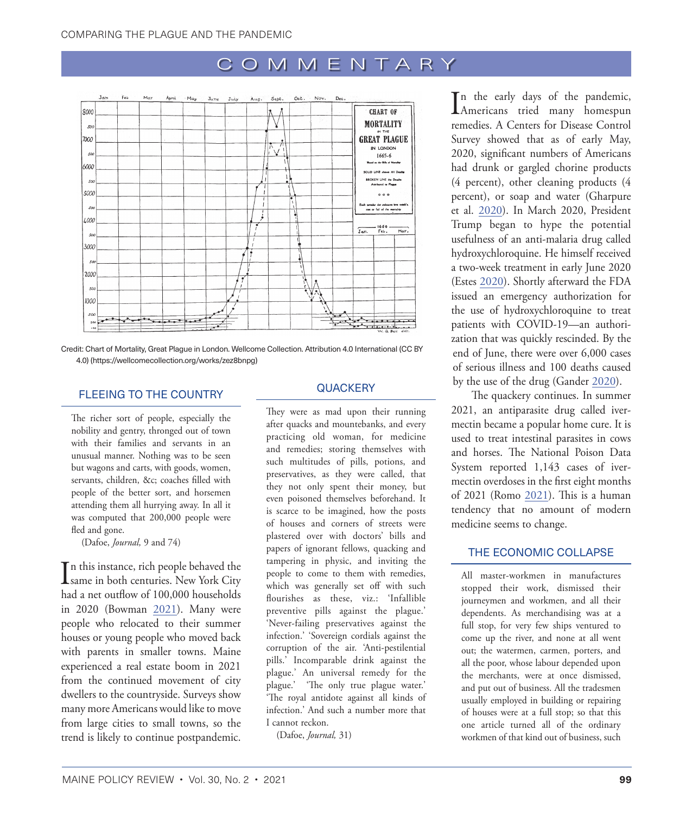

Credit: Chart of Mortality, Great Plague in London. Wellcome Collection. [Attribution 4.0 International \(CC BY](https://creativecommons.org/licenses/by/4.0/)  [4.0\)](https://creativecommons.org/licenses/by/4.0/) [\(https://wellcomecollection.org/works/zez8bnpg\)](https://wellcomecollection.org/works/zez8bnpg)

#### FLEEING TO THE COUNTRY

The richer sort of people, especially the nobility and gentry, thronged out of town with their families and servants in an unusual manner. Nothing was to be seen but wagons and carts, with goods, women, servants, children, &c; coaches filled with people of the better sort, and horsemen attending them all hurrying away. In all it was computed that 200,000 people were fled and gone.

(Dafoe, *Journal,* 9 and 74)

 $\prod$ n this instance, rich people behaved the same in both centuries. New York City n this instance, rich people behaved the had a net outflow of 100,000 households in 2020 (Bowman [2021](#page-6-3)). Many were people who relocated to their summer houses or young people who moved back with parents in smaller towns. Maine experienced a real estate boom in 2021 from the continued movement of city dwellers to the countryside. Surveys show many more Americans would like to move from large cities to small towns, so the trend is likely to continue postpandemic.

### **QUACKERY**

They were as mad upon their running after quacks and mountebanks, and every practicing old woman, for medicine and remedies; storing themselves with such multitudes of pills, potions, and preservatives, as they were called, that they not only spent their money, but even poisoned themselves beforehand. It is scarce to be imagined, how the posts of houses and corners of streets were plastered over with doctors' bills and papers of ignorant fellows, quacking and tampering in physic, and inviting the people to come to them with remedies, which was generally set off with such flourishes as these, viz.: 'Infallible preventive pills against the plague.' 'Never-failing preservatives against the infection.' 'Sovereign cordials against the corruption of the air. 'Anti-pestilential pills.' Incomparable drink against the plague.' An universal remedy for the plague.' 'The only true plague water.' 'The royal antidote against all kinds of infection.' And such a number more that I cannot reckon.

(Dafoe, *Journal,* 31)

In the early days of the pandemic,<br>Americans tried many homespun n the early days of the pandemic, remedies. A Centers for Disease Control Survey showed that as of early May, 2020, significant numbers of Americans had drunk or gargled chorine products (4 percent), other cleaning products (4 percent), or soap and water (Gharpure et al. [2020](#page-6-4)). In March 2020, President Trump began to hype the potential usefulness of an anti-malaria drug called hydroxychloroquine. He himself received a two-week treatment in early June 2020 (Estes [2020](#page-6-5)). Shortly afterward the FDA issued an emergency authorization for the use of hydroxychloroquine to treat patients with COVID-19—an authorization that was quickly rescinded. By the end of June, there were over 6,000 cases of serious illness and 100 deaths caused by the use of the drug (Gander [2020\)](#page-6-6).

The quackery continues. In summer 2021, an antiparasite drug called ivermectin became a popular home cure. It is used to treat intestinal parasites in cows and horses. The National Poison Data System reported 1,143 cases of ivermectin overdoses in the first eight months of 2021 (Romo [2021](#page-6-7)). This is a human tendency that no amount of modern medicine seems to change.

## THE ECONOMIC COLLAPSE

All master-workmen in manufactures stopped their work, dismissed their journeymen and workmen, and all their dependents. As merchandising was at a full stop, for very few ships ventured to come up the river, and none at all went out; the watermen, carmen, porters, and all the poor, whose labour depended upon the merchants, were at once dismissed, and put out of business. All the tradesmen usually employed in building or repairing of houses were at a full stop; so that this one article turned all of the ordinary workmen of that kind out of business, such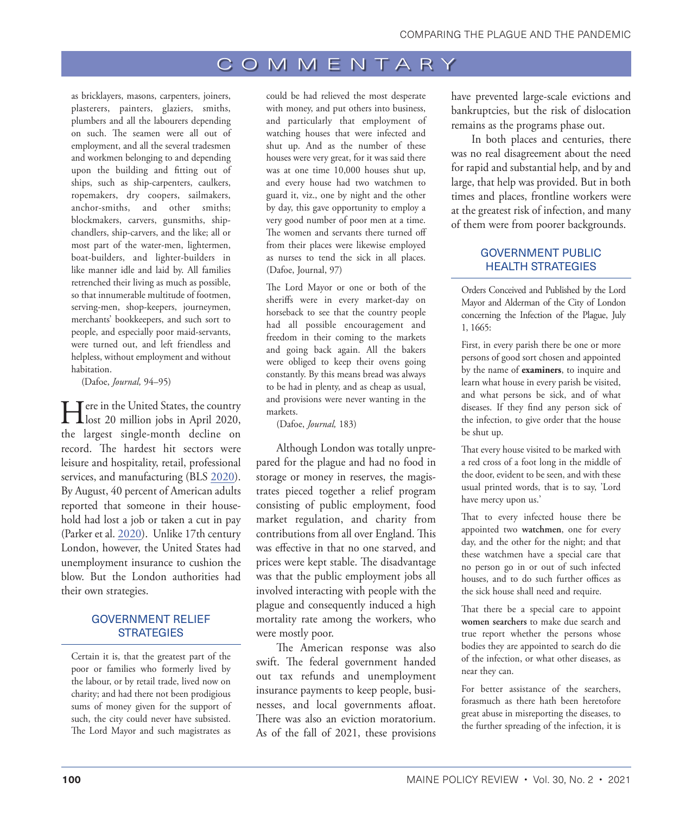as bricklayers, masons, carpenters, joiners, plasterers, painters, glaziers, smiths, plumbers and all the labourers depending on such. The seamen were all out of employment, and all the several tradesmen and workmen belonging to and depending upon the building and fitting out of ships, such as ship-carpenters, caulkers, ropemakers, dry coopers, sailmakers, anchor-smiths, and other smiths; blockmakers, carvers, gunsmiths, shipchandlers, ship-carvers, and the like; all or most part of the water-men, lightermen, boat-builders, and lighter-builders in like manner idle and laid by. All families retrenched their living as much as possible, so that innumerable multitude of footmen, serving-men, shop-keepers, journeymen, merchants' bookkeepers, and such sort to people, and especially poor maid-servants, were turned out, and left friendless and helpless, without employment and without habitation.

(Dafoe, *Journal,* 94–95)

Here in the United States, the country lost 20 million jobs in April 2020, the largest single-month decline on record. The hardest hit sectors were leisure and hospitality, retail, professional services, and manufacturing (BLS [2020](#page-6-8)). By August, 40 percent of American adults reported that someone in their household had lost a job or taken a cut in pay (Parker et al. [2020](#page-6-9)). Unlike 17th century London, however, the United States had unemployment insurance to cushion the blow. But the London authorities had their own strategies.

### GOVERNMENT RELIEF **STRATEGIES**

Certain it is, that the greatest part of the poor or families who formerly lived by the labour, or by retail trade, lived now on charity; and had there not been prodigious sums of money given for the support of such, the city could never have subsisted. The Lord Mayor and such magistrates as could be had relieved the most desperate with money, and put others into business, and particularly that employment of watching houses that were infected and shut up. And as the number of these houses were very great, for it was said there was at one time 10,000 houses shut up, and every house had two watchmen to guard it, viz., one by night and the other by day, this gave opportunity to employ a very good number of poor men at a time. The women and servants there turned off from their places were likewise employed as nurses to tend the sick in all places. (Dafoe, Journal, 97)

The Lord Mayor or one or both of the sheriffs were in every market-day on horseback to see that the country people had all possible encouragement and freedom in their coming to the markets and going back again. All the bakers were obliged to keep their ovens going constantly. By this means bread was always to be had in plenty, and as cheap as usual, and provisions were never wanting in the markets.

(Dafoe, *Journal,* 183)

Although London was totally unprepared for the plague and had no food in storage or money in reserves, the magistrates pieced together a relief program consisting of public employment, food market regulation, and charity from contributions from all over England. This was effective in that no one starved, and prices were kept stable. The disadvantage was that the public employment jobs all involved interacting with people with the plague and consequently induced a high mortality rate among the workers, who were mostly poor.

The American response was also swift. The federal government handed out tax refunds and unemployment insurance payments to keep people, businesses, and local governments afloat. There was also an eviction moratorium. As of the fall of 2021, these provisions

have prevented large-scale evictions and bankruptcies, but the risk of dislocation remains as the programs phase out.

In both places and centuries, there was no real disagreement about the need for rapid and substantial help, and by and large, that help was provided. But in both times and places, frontline workers were at the greatest risk of infection, and many of them were from poorer backgrounds.

### GOVERNMENT PUBLIC HEALTH STRATEGIES

Orders Conceived and Published by the Lord Mayor and Alderman of the City of London concerning the Infection of the Plague, July 1, 1665:

First, in every parish there be one or more persons of good sort chosen and appointed by the name of **examiners**, to inquire and learn what house in every parish be visited, and what persons be sick, and of what diseases. If they find any person sick of the infection, to give order that the house be shut up.

That every house visited to be marked with a red cross of a foot long in the middle of the door, evident to be seen, and with these usual printed words, that is to say, 'Lord have mercy upon us.'

That to every infected house there be appointed two **watchmen**, one for every day, and the other for the night; and that these watchmen have a special care that no person go in or out of such infected houses, and to do such further offices as the sick house shall need and require.

That there be a special care to appoint **women searchers** to make due search and true report whether the persons whose bodies they are appointed to search do die of the infection, or what other diseases, as near they can.

For better assistance of the searchers, forasmuch as there hath been heretofore great abuse in misreporting the diseases, to the further spreading of the infection, it is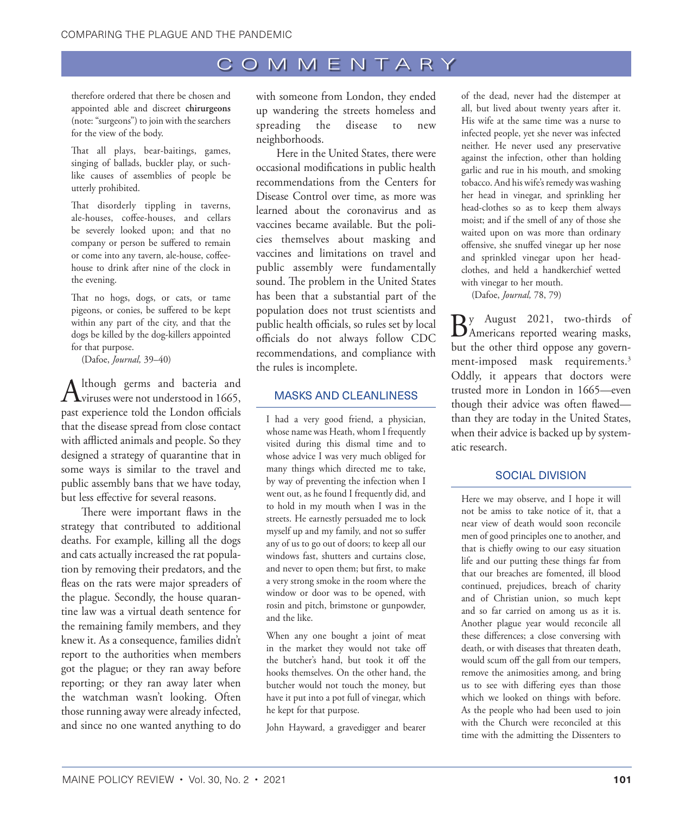<span id="page-4-0"></span>therefore ordered that there be chosen and appointed able and discreet **chirurgeons** (note: "surgeons") to join with the searchers for the view of the body.

That all plays, bear-baitings, games, singing of ballads, buckler play, or suchlike causes of assemblies of people be utterly prohibited.

That disorderly tippling in taverns, ale-houses, coffee-houses, and cellars be severely looked upon; and that no company or person be suffered to remain or come into any tavern, ale-house, coffeehouse to drink after nine of the clock in the evening.

That no hogs, dogs, or cats, or tame pigeons, or conies, be suffered to be kept within any part of the city, and that the dogs be killed by the dog-killers appointed for that purpose.

(Dafoe, *Journal,* 39–40)

Although germs and bacteria and<br>
viruses were not understood in 1665, past experience told the London officials that the disease spread from close contact with afflicted animals and people. So they designed a strategy of quarantine that in some ways is similar to the travel and public assembly bans that we have today, but less effective for several reasons.

There were important flaws in the strategy that contributed to additional deaths. For example, killing all the dogs and cats actually increased the rat population by removing their predators, and the fleas on the rats were major spreaders of the plague. Secondly, the house quarantine law was a virtual death sentence for the remaining family members, and they knew it. As a consequence, families didn't report to the authorities when members got the plague; or they ran away before reporting; or they ran away later when the watchman wasn't looking. Often those running away were already infected, and since no one wanted anything to do

with someone from London, they ended up wandering the streets homeless and spreading the disease to new neighborhoods.

Here in the United States, there were occasional modifications in public health recommendations from the Centers for Disease Control over time, as more was learned about the coronavirus and as vaccines became available. But the policies themselves about masking and vaccines and limitations on travel and public assembly were fundamentally sound. The problem in the United States has been that a substantial part of the population does not trust scientists and public health officials, so rules set by local officials do not always follow CDC recommendations, and compliance with the rules is incomplete.

#### MASKS AND CLEANLINESS

I had a very good friend, a physician, whose name was Heath, whom I frequently visited during this dismal time and to whose advice I was very much obliged for many things which directed me to take, by way of preventing the infection when I went out, as he found I frequently did, and to hold in my mouth when I was in the streets. He earnestly persuaded me to lock myself up and my family, and not so suffer any of us to go out of doors; to keep all our windows fast, shutters and curtains close, and never to open them; but first, to make a very strong smoke in the room where the window or door was to be opened, with rosin and pitch, brimstone or gunpowder, and the like.

When any one bought a joint of meat in the market they would not take off the butcher's hand, but took it off the hooks themselves. On the other hand, the butcher would not touch the money, but have it put into a pot full of vinegar, which he kept for that purpose.

John Hayward, a gravedigger and bearer

of the dead, never had the distemper at all, but lived about twenty years after it. His wife at the same time was a nurse to infected people, yet she never was infected neither. He never used any preservative against the infection, other than holding garlic and rue in his mouth, and smoking tobacco. And his wife's remedy was washing her head in vinegar, and sprinkling her head-clothes so as to keep them always moist; and if the smell of any of those she waited upon on was more than ordinary offensive, she snuffed vinegar up her nose and sprinkled vinegar upon her headclothes, and held a handkerchief wetted with vinegar to her mouth.

(Dafoe, *Journal,* 78, 79)

 $B_{\text{American reported wearing masks,}}$ but the other third oppose any govern-ment-imposed mask requirements.<sup>[3](#page-5-0)</sup> Oddly, it appears that doctors were trusted more in London in 1665—even though their advice was often flawed than they are today in the United States, when their advice is backed up by systematic research.

#### SOCIAL DIVISION

Here we may observe, and I hope it will not be amiss to take notice of it, that a near view of death would soon reconcile men of good principles one to another, and that is chiefly owing to our easy situation life and our putting these things far from that our breaches are fomented, ill blood continued, prejudices, breach of charity and of Christian union, so much kept and so far carried on among us as it is. Another plague year would reconcile all these differences; a close conversing with death, or with diseases that threaten death, would scum off the gall from our tempers, remove the animosities among, and bring us to see with differing eyes than those which we looked on things with before. As the people who had been used to join with the Church were reconciled at this time with the admitting the Dissenters to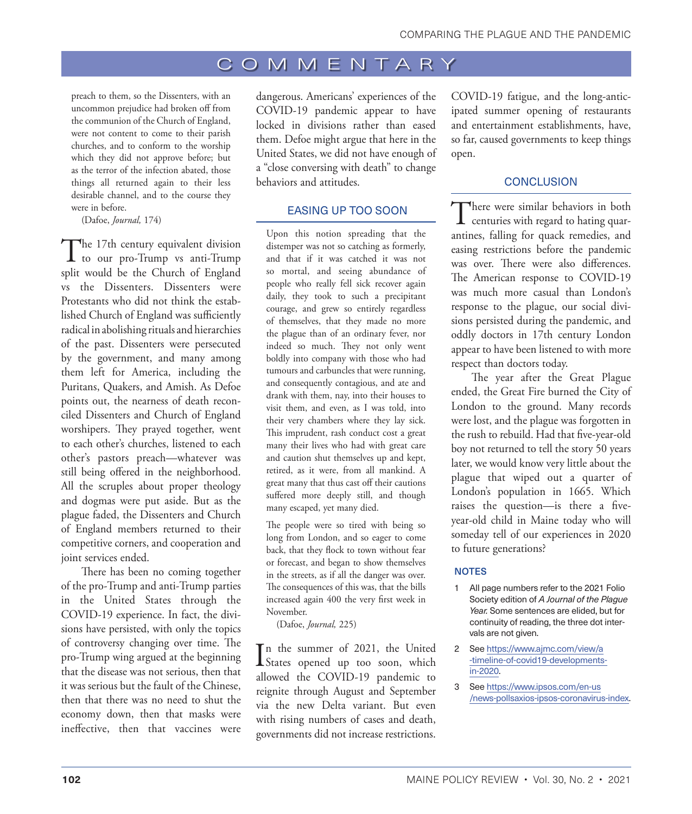<span id="page-5-0"></span>preach to them, so the Dissenters, with an uncommon prejudice had broken off from the communion of the Church of England, were not content to come to their parish churches, and to conform to the worship which they did not approve before; but as the terror of the infection abated, those things all returned again to their less desirable channel, and to the course they were in before.

(Dafoe, *Journal,* 174)

The 17th century equivalent division<br>to our pro-Trump vs anti-Trump split would be the Church of England vs the Dissenters. Dissenters were Protestants who did not think the established Church of England was sufficiently radical in abolishing rituals and hierarchies of the past. Dissenters were persecuted by the government, and many among them left for America, including the Puritans, Quakers, and Amish. As Defoe points out, the nearness of death reconciled Dissenters and Church of England worshipers. They prayed together, went to each other's churches, listened to each other's pastors preach—whatever was still being offered in the neighborhood. All the scruples about proper theology and dogmas were put aside. But as the plague faded, the Dissenters and Church of England members returned to their competitive corners, and cooperation and joint services ended.

There has been no coming together of the pro-Trump and anti-Trump parties in the United States through the COVID-19 experience. In fact, the divisions have persisted, with only the topics of controversy changing over time. The pro-Trump wing argued at the beginning that the disease was not serious, then that it was serious but the fault of the Chinese, then that there was no need to shut the economy down, then that masks were ineffective, then that vaccines were

dangerous. Americans' experiences of the COVID-19 pandemic appear to have locked in divisions rather than eased them. Defoe might argue that here in the United States, we did not have enough of a "close conversing with death" to change behaviors and attitudes.

#### EASING UP TOO SOON

Upon this notion spreading that the distemper was not so catching as formerly, and that if it was catched it was not so mortal, and seeing abundance of people who really fell sick recover again daily, they took to such a precipitant courage, and grew so entirely regardless of themselves, that they made no more the plague than of an ordinary fever, nor indeed so much. They not only went boldly into company with those who had tumours and carbuncles that were running, and consequently contagious, and ate and drank with them, nay, into their houses to visit them, and even, as I was told, into their very chambers where they lay sick. This imprudent, rash conduct cost a great many their lives who had with great care and caution shut themselves up and kept, retired, as it were, from all mankind. A great many that thus cast off their cautions suffered more deeply still, and though many escaped, yet many died.

The people were so tired with being so long from London, and so eager to come back, that they flock to town without fear or forecast, and began to show themselves in the streets, as if all the danger was over. The consequences of this was, that the bills increased again 400 the very first week in November.

(Dafoe, *Journal,* 225)

In the summer of 2021, the United<br>States opened up too soon, which n the summer of 2021, the United allowed the COVID-19 pandemic to reignite through August and September via the new Delta variant. But even with rising numbers of cases and death, governments did not increase restrictions.

COVID-19 fatigue, and the long-anticipated summer opening of restaurants and entertainment establishments, have, so far, caused governments to keep things open.

#### **CONCLUSION**

There were similar behaviors in both<br>centuries with regard to hating quarantines, falling for quack remedies, and easing restrictions before the pandemic was over. There were also differences. The American response to COVID-19 was much more casual than London's response to the plague, our social divisions persisted during the pandemic, and oddly doctors in 17th century London appear to have been listened to with more respect than doctors today.

The year after the Great Plague ended, the Great Fire burned the City of London to the ground. Many records were lost, and the plague was forgotten in the rush to rebuild. Had that five-year-old boy not returned to tell the story 50 years later, we would know very little about the plague that wiped out a quarter of London's population in 1665. Which raises the question—is there a fiveyear-old child in Maine today who will someday tell of our experiences in 2020 to future generations?

#### **NOTES**

- [1](#page-1-0) All page numbers refer to the 2021 Folio Society edition of *A Journal of the Plague Year.* Some sentences are elided, but for continuity of reading, the three dot intervals are not given.
- [2](#page-1-0) See [https://www.ajmc.com/view/a](https://www.ajmc.com/view/a-timeline-of-covid19-developments-in-2020) [-timeline-of-covid19-developments](https://www.ajmc.com/view/a-timeline-of-covid19-developments-in-2020)[in-2020](https://www.ajmc.com/view/a-timeline-of-covid19-developments-in-2020).
- [3](#page-4-0) See [https://www.ipsos.com/en-us](https://www.ipsos.com/en-us/news-polls/axios-ipsos-coronavirus-index) [/news-pollsaxios-ipsos-coronavirus-index](https://www.ipsos.com/en-us/news-polls/axios-ipsos-coronavirus-index).